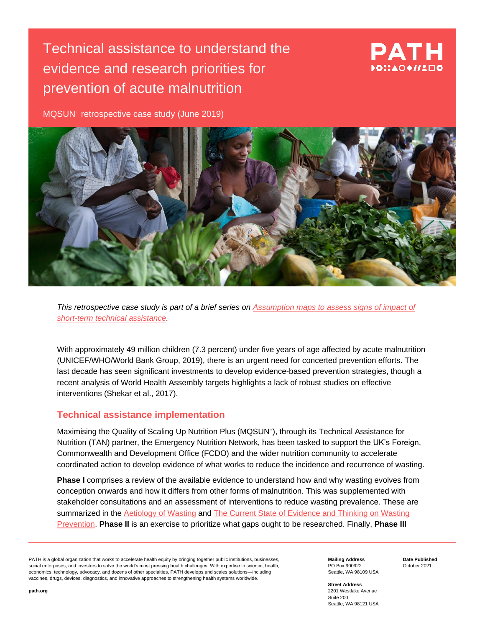# Technical assistance to understand the evidence and research priorities for prevention of acute malnutrition

# PATH DOI:AOO//LEIO

MQSUN<sup>+</sup> retrospective case study (June 2019)



*This retrospective case study is part of a brief series on [Assumption maps to assess signs of](https://mqsunplus.path.org/resources/assumption-maps-to-assess-signs-of-impact-of-short-term-technical-assistance/) impact of [short-term technical assistance.](https://mqsunplus.path.org/resources/assumption-maps-to-assess-signs-of-impact-of-short-term-technical-assistance/)*

With approximately 49 million children (7.3 percent) under five years of age affected by acute malnutrition (UNICEF/WHO/World Bank Group, 2019), there is an urgent need for concerted prevention efforts. The last decade has seen significant investments to develop evidence-based prevention strategies, though a recent analysis of World Health Assembly targets highlights a lack of robust studies on effective interventions (Shekar et al., 2017).

#### **Technical assistance implementation**

Maximising the Quality of Scaling Up Nutrition Plus (MQSUN<sup>+</sup> ), through its Technical Assistance for Nutrition (TAN) partner, the Emergency Nutrition Network, has been tasked to support the UK's Foreign, Commonwealth and Development Office (FCDO) and the wider nutrition community to accelerate coordinated action to develop evidence of what works to reduce the incidence and recurrence of wasting.

**Phase I** comprises a review of the available evidence to understand how and why wasting evolves from conception onwards and how it differs from other forms of malnutrition. This was supplemented with stakeholder consultations and an assessment of interventions to reduce wasting prevalence. These are summarized in the [Aetiology of Wasting](https://mqsunplus.path.org/resources/the-aetiology-of-wasting/) and [The Current State of Evidence and Thinking on Wasting](https://mqsunplus.path.org/resources/the-current-state-of-evidence-and-thinking-on-wasting-prevention/)  [Prevention.](https://mqsunplus.path.org/resources/the-current-state-of-evidence-and-thinking-on-wasting-prevention/) **Phase II** is an exercise to prioritize what gaps ought to be researched. Finally, **Phase III**

PATH is a global organization that works to accelerate health equity by bringing together public institutions, businesses, social enterprises, and investors to solve the world's most pressing health challenges. With expertise in science, health, economics, technology, advocacy, and dozens of other specialties, PATH develops and scales solutions—including vaccines, drugs, devices, diagnostics, and innovative approaches to strengthening health systems worldwide.

**Mailing Address** PO Box 900922 Seattle, WA 98109 USA **Date Published** October 2021

**Street Address** 2201 Westlake Avenue Suite 200 Seattle, WA 98121 USA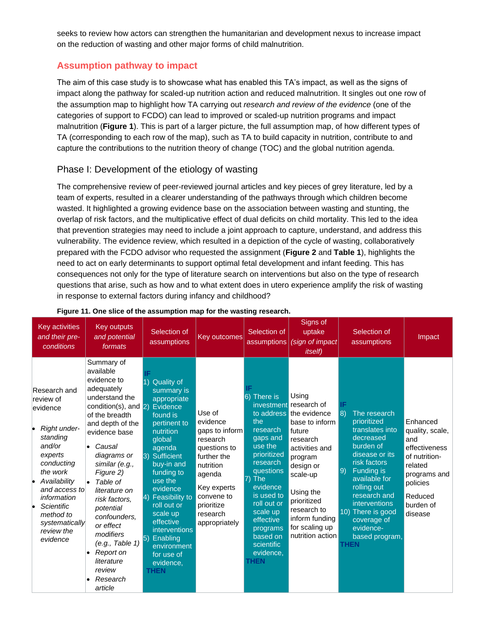seeks to review how actors can strengthen the humanitarian and development nexus to increase impact on the reduction of wasting and other major forms of child malnutrition.

### **Assumption pathway to impact**

The aim of this case study is to showcase what has enabled this TA's impact, as well as the signs of impact along the pathway for scaled-up nutrition action and reduced malnutrition. It singles out one row of the assumption map to highlight how TA carrying out *research and review of the evidence* (one of the categories of support to FCDO) can lead to improved or scaled-up nutrition programs and impact malnutrition (**Figure 1**). This is part of a larger picture, the full assumption map, of how different types of TA (corresponding to each row of the map), such as TA to build capacity in nutrition, contribute to and capture the contributions to the nutrition theory of change (TOC) and the global nutrition agenda.

#### Phase I: Development of the etiology of wasting

The comprehensive review of peer-reviewed journal articles and key pieces of grey literature, led by a team of experts, resulted in a clearer understanding of the pathways through which children become wasted. It highlighted a growing evidence base on the association between wasting and stunting, the overlap of risk factors, and the multiplicative effect of dual deficits on child mortality. This led to the idea that prevention strategies may need to include a joint approach to capture, understand, and address this vulnerability. The evidence review, which resulted in a depiction of the cycle of wasting, collaboratively prepared with the FCDO advisor who requested the assignment (**Figure 2** and **Table 1**), highlights the need to act on early determinants to support optimal fetal development and infant feeding. This has consequences not only for the type of literature search on interventions but also on the type of research questions that arise, such as how and to what extent does in utero experience amplify the risk of wasting in response to external factors during infancy and childhood?

| <b>Key activities</b><br>and their pre-<br>conditions                                                                                                                                                                                         | Key outputs<br>and potential<br>formats                                                                                                                                                                                                                                                                                                                                                                                              | Selection of<br>assumptions                                                                                                                                                                                                                                                                                                                                        | Key outcomes                                                                                                                                                                   | Selection of<br>assumptions                                                                                                                                                                                                                 | Signs of<br>uptake<br>(sign of impact<br><i>itself</i> )                                                                                                                                                                                                    | Selection of<br>assumptions                                                                                                                                                                                                                                                                   | Impact                                                                                                                                         |
|-----------------------------------------------------------------------------------------------------------------------------------------------------------------------------------------------------------------------------------------------|--------------------------------------------------------------------------------------------------------------------------------------------------------------------------------------------------------------------------------------------------------------------------------------------------------------------------------------------------------------------------------------------------------------------------------------|--------------------------------------------------------------------------------------------------------------------------------------------------------------------------------------------------------------------------------------------------------------------------------------------------------------------------------------------------------------------|--------------------------------------------------------------------------------------------------------------------------------------------------------------------------------|---------------------------------------------------------------------------------------------------------------------------------------------------------------------------------------------------------------------------------------------|-------------------------------------------------------------------------------------------------------------------------------------------------------------------------------------------------------------------------------------------------------------|-----------------------------------------------------------------------------------------------------------------------------------------------------------------------------------------------------------------------------------------------------------------------------------------------|------------------------------------------------------------------------------------------------------------------------------------------------|
| Research and<br>review of<br>evidence<br>Right under-<br>standing<br>and/or<br>experts<br>conducting<br>the work<br>Availability<br>I.<br>and access to<br>information<br>Scientific<br>method to<br>systematically<br>review the<br>evidence | Summary of<br>available<br>evidence to<br>adequately<br>understand the<br>condition(s), and $\boxed{2}$<br>of the breadth<br>and depth of the<br>evidence base<br>Causal<br>diagrams or<br>similar (e.g.,<br>Figure 2)<br>Table of<br>$\bullet$<br>literature on<br>risk factors,<br>potential<br>confounders.<br>or effect<br>modifiers<br>(e.g., Table 1)<br>Report on<br>$\bullet$<br>literature<br>review<br>Research<br>article | <b>Quality of</b><br>summary is<br>appropriate<br>Evidence<br>found is<br>pertinent to<br>nutrition<br>global<br>agenda<br>3) Sufficient<br>buy-in and<br>funding to<br>use the<br>evidence<br>4) Feasibility to<br>roll out or<br>scale up<br>effective<br>interventions<br>Enabling<br>$\vert 5) \vert$<br>environment<br>for use of<br>evidence,<br><b>THEN</b> | Use of<br>evidence<br>gaps to inform<br>research<br>questions to<br>further the<br>nutrition<br>agenda<br>Key experts<br>convene to<br>prioritize<br>research<br>appropriately | 6) There is<br>the<br>research<br>gaps and<br>use the<br>prioritized<br>research<br>questions<br>7) The<br>evidence<br>is used to<br>roll out or<br>scale up<br>effective<br>programs<br>based on<br>scientific<br>evidence,<br><b>THEN</b> | Using<br>investment research of<br>to address the evidence<br>base to inform<br>future<br>research<br>activities and<br>program<br>design or<br>scale-up<br>Using the<br>prioritized<br>research to<br>inform funding<br>for scaling up<br>nutrition action | IF<br>8)<br>The research<br>prioritized<br>translates into<br>decreased<br>burden of<br>disease or its<br>risk factors<br>9)<br>Funding is<br>available for<br>rolling out<br>research and<br>interventions<br>10) There is good<br>coverage of<br>evidence-<br>based program,<br><b>THEN</b> | Enhanced<br>quality, scale,<br>and<br>effectiveness<br>of nutrition-<br>related<br>programs and<br>policies<br>Reduced<br>burden of<br>disease |

#### **Figure 11. One slice of the assumption map for the wasting research.**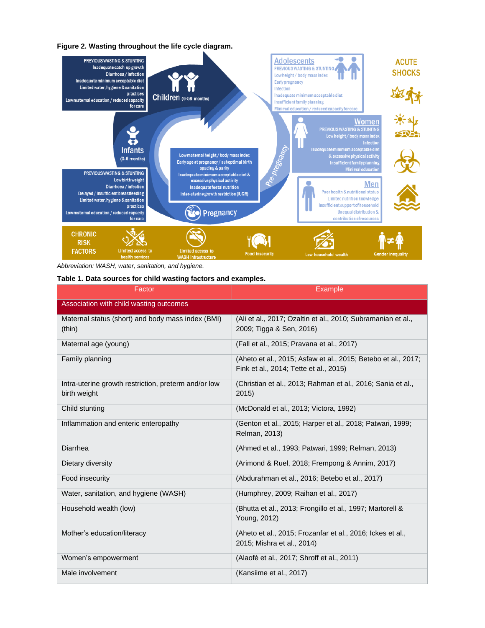**Figure 2. Wasting throughout the life cycle diagram.** 



*Abbreviation: WASH, water, sanitation, and hygiene.*

#### **Table 1. Data sources for child wasting factors and examples.**

| <b>Factor</b>                                                        | <b>Example</b>                                                                                          |  |  |  |  |  |
|----------------------------------------------------------------------|---------------------------------------------------------------------------------------------------------|--|--|--|--|--|
| Association with child wasting outcomes                              |                                                                                                         |  |  |  |  |  |
| Maternal status (short) and body mass index (BMI)<br>(thin)          | (Ali et al., 2017; Ozaltin et al., 2010; Subramanian et al.,<br>2009; Tigga & Sen, 2016)                |  |  |  |  |  |
| Maternal age (young)                                                 | (Fall et al., 2015; Pravana et al., 2017)                                                               |  |  |  |  |  |
| Family planning                                                      | (Aheto et al., 2015; Asfaw et al., 2015; Betebo et al., 2017;<br>Fink et al., 2014; Tette et al., 2015) |  |  |  |  |  |
| Intra-uterine growth restriction, preterm and/or low<br>birth weight | (Christian et al., 2013; Rahman et al., 2016; Sania et al.,<br>2015)                                    |  |  |  |  |  |
| Child stunting                                                       | (McDonald et al., 2013; Victora, 1992)                                                                  |  |  |  |  |  |
| Inflammation and enteric enteropathy                                 | (Genton et al., 2015; Harper et al., 2018; Patwari, 1999;<br>Relman, 2013)                              |  |  |  |  |  |
| Diarrhea                                                             | (Ahmed et al., 1993; Patwari, 1999; Relman, 2013)                                                       |  |  |  |  |  |
| Dietary diversity                                                    | (Arimond & Ruel, 2018; Frempong & Annim, 2017)                                                          |  |  |  |  |  |
| Food insecurity                                                      | (Abdurahman et al., 2016; Betebo et al., 2017)                                                          |  |  |  |  |  |
| Water, sanitation, and hygiene (WASH)                                | (Humphrey, 2009; Raihan et al., 2017)                                                                   |  |  |  |  |  |
| Household wealth (low)                                               | (Bhutta et al., 2013; Frongillo et al., 1997; Martorell &<br>Young, 2012)                               |  |  |  |  |  |
| Mother's education/literacy                                          | (Aheto et al., 2015; Frozanfar et al., 2016; Ickes et al.,<br>2015; Mishra et al., 2014)                |  |  |  |  |  |
| Women's empowerment                                                  | (Alaofè et al., 2017; Shroff et al., 2011)                                                              |  |  |  |  |  |
| Male involvement                                                     | (Kansiime et al., 2017)                                                                                 |  |  |  |  |  |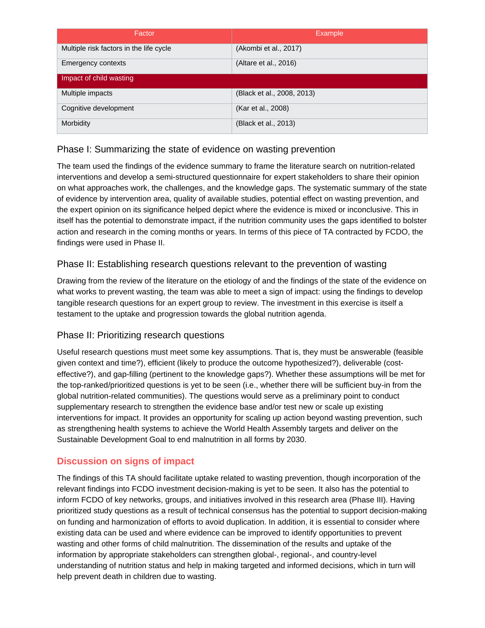| Factor                                  | <b>Example</b>             |  |  |  |  |
|-----------------------------------------|----------------------------|--|--|--|--|
| Multiple risk factors in the life cycle | (Akombi et al., 2017)      |  |  |  |  |
| Emergency contexts                      | (Altare et al., 2016)      |  |  |  |  |
| Impact of child wasting                 |                            |  |  |  |  |
| Multiple impacts                        | (Black et al., 2008, 2013) |  |  |  |  |
| Cognitive development                   | (Kar et al., 2008)         |  |  |  |  |
| Morbidity                               | (Black et al., 2013)       |  |  |  |  |

## Phase I: Summarizing the state of evidence on wasting prevention

The team used the findings of the evidence summary to frame the literature search on nutrition-related interventions and develop a semi-structured questionnaire for expert stakeholders to share their opinion on what approaches work, the challenges, and the knowledge gaps. The systematic summary of the state of evidence by intervention area, quality of available studies, potential effect on wasting prevention, and the expert opinion on its significance helped depict where the evidence is mixed or inconclusive. This in itself has the potential to demonstrate impact, if the nutrition community uses the gaps identified to bolster action and research in the coming months or years. In terms of this piece of TA contracted by FCDO, the findings were used in Phase II.

## Phase II: Establishing research questions relevant to the prevention of wasting

Drawing from the review of the literature on the etiology of and the findings of the state of the evidence on what works to prevent wasting, the team was able to meet a sign of impact: using the findings to develop tangible research questions for an expert group to review. The investment in this exercise is itself a testament to the uptake and progression towards the global nutrition agenda.

### Phase II: Prioritizing research questions

Useful research questions must meet some key assumptions. That is, they must be answerable (feasible given context and time?), efficient (likely to produce the outcome hypothesized?), deliverable (costeffective?), and gap-filling (pertinent to the knowledge gaps?). Whether these assumptions will be met for the top-ranked/prioritized questions is yet to be seen (i.e., whether there will be sufficient buy-in from the global nutrition-related communities). The questions would serve as a preliminary point to conduct supplementary research to strengthen the evidence base and/or test new or scale up existing interventions for impact. It provides an opportunity for scaling up action beyond wasting prevention, such as strengthening health systems to achieve the World Health Assembly targets and deliver on the Sustainable Development Goal to end malnutrition in all forms by 2030.

## **Discussion on signs of impact**

The findings of this TA should facilitate uptake related to wasting prevention, though incorporation of the relevant findings into FCDO investment decision-making is yet to be seen. It also has the potential to inform FCDO of key networks, groups, and initiatives involved in this research area (Phase III). Having prioritized study questions as a result of technical consensus has the potential to support decision-making on funding and harmonization of efforts to avoid duplication. In addition, it is essential to consider where existing data can be used and where evidence can be improved to identify opportunities to prevent wasting and other forms of child malnutrition. The dissemination of the results and uptake of the information by appropriate stakeholders can strengthen global-, regional-, and country-level understanding of nutrition status and help in making targeted and informed decisions, which in turn will help prevent death in children due to wasting.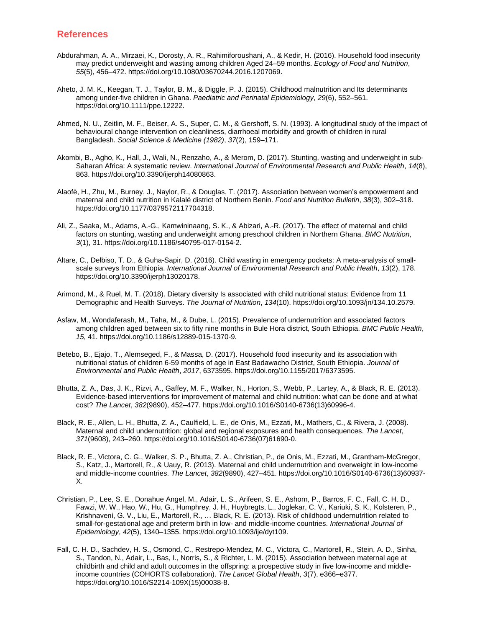#### **References**

- Abdurahman, A. A., Mirzaei, K., Dorosty, A. R., Rahimiforoushani, A., & Kedir, H. (2016). Household food insecurity may predict underweight and wasting among children Aged 24–59 months. *Ecology of Food and Nutrition*, *55*(5), 456–472. https://doi.org/10.1080/03670244.2016.1207069.
- Aheto, J. M. K., Keegan, T. J., Taylor, B. M., & Diggle, P. J. (2015). Childhood malnutrition and Its determinants among under-five children in Ghana. *Paediatric and Perinatal Epidemiology*, *29*(6), 552–561. https://doi.org/10.1111/ppe.12222.
- Ahmed, N. U., Zeitlin, M. F., Beiser, A. S., Super, C. M., & Gershoff, S. N. (1993). A longitudinal study of the impact of behavioural change intervention on cleanliness, diarrhoeal morbidity and growth of children in rural Bangladesh. *Social Science & Medicine (1982)*, *37*(2), 159–171.
- Akombi, B., Agho, K., Hall, J., Wali, N., Renzaho, A., & Merom, D. (2017). Stunting, wasting and underweight in sub-Saharan Africa: A systematic review. *International Journal of Environmental Research and Public Health*, *14*(8), 863. https://doi.org/10.3390/ijerph14080863.
- Alaofè, H., Zhu, M., Burney, J., Naylor, R., & Douglas, T. (2017). Association between women's empowerment and maternal and child nutrition in Kalalé district of Northern Benin. *Food and Nutrition Bulletin*, *38*(3), 302–318. https://doi.org/10.1177/0379572117704318.
- Ali, Z., Saaka, M., Adams, A.-G., Kamwininaang, S. K., & Abizari, A.-R. (2017). The effect of maternal and child factors on stunting, wasting and underweight among preschool children in Northern Ghana. *BMC Nutrition*, *3*(1), 31. https://doi.org/10.1186/s40795-017-0154-2.
- Altare, C., Delbiso, T. D., & Guha-Sapir, D. (2016). Child wasting in emergency pockets: A meta-analysis of smallscale surveys from Ethiopia. *International Journal of Environmental Research and Public Health*, *13*(2), 178. https://doi.org/10.3390/ijerph13020178.
- Arimond, M., & Ruel, M. T. (2018). Dietary diversity Is associated with child nutritional status: Evidence from 11 Demographic and Health Surveys. *The Journal of Nutrition*, *134*(10). https://doi.org/10.1093/jn/134.10.2579.
- Asfaw, M., Wondaferash, M., Taha, M., & Dube, L. (2015). Prevalence of undernutrition and associated factors among children aged between six to fifty nine months in Bule Hora district, South Ethiopia. *BMC Public Health*, *15*, 41. https://doi.org/10.1186/s12889-015-1370-9.
- Betebo, B., Ejajo, T., Alemseged, F., & Massa, D. (2017). Household food insecurity and its association with nutritional status of children 6-59 months of age in East Badawacho District, South Ethiopia. *Journal of Environmental and Public Health*, *2017*, 6373595. https://doi.org/10.1155/2017/6373595.
- Bhutta, Z. A., Das, J. K., Rizvi, A., Gaffey, M. F., Walker, N., Horton, S., Webb, P., Lartey, A., & Black, R. E. (2013). Evidence-based interventions for improvement of maternal and child nutrition: what can be done and at what cost? *The Lancet*, *382*(9890), 452–477. https://doi.org/10.1016/S0140-6736(13)60996-4.
- Black, R. E., Allen, L. H., Bhutta, Z. A., Caulfield, L. E., de Onis, M., Ezzati, M., Mathers, C., & Rivera, J. (2008). Maternal and child undernutrition: global and regional exposures and health consequences. *The Lancet*, *371*(9608), 243–260. https://doi.org/10.1016/S0140-6736(07)61690-0.
- Black, R. E., Victora, C. G., Walker, S. P., Bhutta, Z. A., Christian, P., de Onis, M., Ezzati, M., Grantham-McGregor, S., Katz, J., Martorell, R., & Uauy, R. (2013). Maternal and child undernutrition and overweight in low-income and middle-income countries. *The Lancet*, *382*(9890), 427–451. https://doi.org/10.1016/S0140-6736(13)60937- X.
- Christian, P., Lee, S. E., Donahue Angel, M., Adair, L. S., Arifeen, S. E., Ashorn, P., Barros, F. C., Fall, C. H. D., Fawzi, W. W., Hao, W., Hu, G., Humphrey, J. H., Huybregts, L., Joglekar, C. V., Kariuki, S. K., Kolsteren, P., Krishnaveni, G. V., Liu, E., Martorell, R., … Black, R. E. (2013). Risk of childhood undernutrition related to small-for-gestational age and preterm birth in low- and middle-income countries. *International Journal of Epidemiology*, *42*(5), 1340–1355. https://doi.org/10.1093/ije/dyt109.
- Fall, C. H. D., Sachdev, H. S., Osmond, C., Restrepo-Mendez, M. C., Victora, C., Martorell, R., Stein, A. D., Sinha, S., Tandon, N., Adair, L., Bas, I., Norris, S., & Richter, L. M. (2015). Association between maternal age at childbirth and child and adult outcomes in the offspring: a prospective study in five low-income and middleincome countries (COHORTS collaboration). *The Lancet Global Health*, *3*(7), e366–e377. https://doi.org/10.1016/S2214-109X(15)00038-8.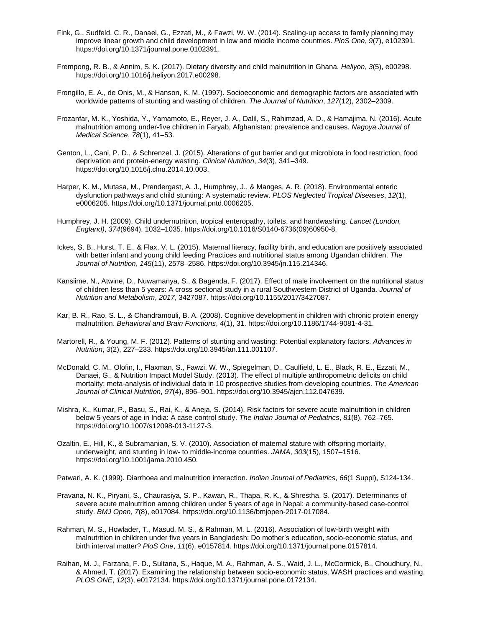- Fink, G., Sudfeld, C. R., Danaei, G., Ezzati, M., & Fawzi, W. W. (2014). Scaling-up access to family planning may improve linear growth and child development in low and middle income countries. *PloS One*, *9*(7), e102391. https://doi.org/10.1371/journal.pone.0102391.
- Frempong, R. B., & Annim, S. K. (2017). Dietary diversity and child malnutrition in Ghana. *Heliyon*, *3*(5), e00298. https://doi.org/10.1016/j.heliyon.2017.e00298.
- Frongillo, E. A., de Onis, M., & Hanson, K. M. (1997). Socioeconomic and demographic factors are associated with worldwide patterns of stunting and wasting of children. *The Journal of Nutrition*, *127*(12), 2302–2309.
- Frozanfar, M. K., Yoshida, Y., Yamamoto, E., Reyer, J. A., Dalil, S., Rahimzad, A. D., & Hamajima, N. (2016). Acute malnutrition among under-five children in Faryab, Afghanistan: prevalence and causes. *Nagoya Journal of Medical Science*, *78*(1), 41–53.
- Genton, L., Cani, P. D., & Schrenzel, J. (2015). Alterations of gut barrier and gut microbiota in food restriction, food deprivation and protein-energy wasting. *Clinical Nutrition*, *34*(3), 341–349. https://doi.org/10.1016/j.clnu.2014.10.003.
- Harper, K. M., Mutasa, M., Prendergast, A. J., Humphrey, J., & Manges, A. R. (2018). Environmental enteric dysfunction pathways and child stunting: A systematic review. *PLOS Neglected Tropical Diseases*, *12*(1), e0006205. https://doi.org/10.1371/journal.pntd.0006205.
- Humphrey, J. H. (2009). Child undernutrition, tropical enteropathy, toilets, and handwashing. *Lancet (London, England)*, *374*(9694), 1032–1035. https://doi.org/10.1016/S0140-6736(09)60950-8.
- Ickes, S. B., Hurst, T. E., & Flax, V. L. (2015). Maternal literacy, facility birth, and education are positively associated with better infant and young child feeding Practices and nutritional status among Ugandan children. *The Journal of Nutrition*, *145*(11), 2578–2586. https://doi.org/10.3945/jn.115.214346.
- Kansiime, N., Atwine, D., Nuwamanya, S., & Bagenda, F. (2017). Effect of male involvement on the nutritional status of children less than 5 years: A cross sectional study in a rural Southwestern District of Uganda. *Journal of Nutrition and Metabolism*, *2017*, 3427087. https://doi.org/10.1155/2017/3427087.
- Kar, B. R., Rao, S. L., & Chandramouli, B. A. (2008). Cognitive development in children with chronic protein energy malnutrition. *Behavioral and Brain Functions*, *4*(1), 31. https://doi.org/10.1186/1744-9081-4-31.
- Martorell, R., & Young, M. F. (2012). Patterns of stunting and wasting: Potential explanatory factors. *Advances in Nutrition*, *3*(2), 227–233. https://doi.org/10.3945/an.111.001107.
- McDonald, C. M., Olofin, I., Flaxman, S., Fawzi, W. W., Spiegelman, D., Caulfield, L. E., Black, R. E., Ezzati, M., Danaei, G., & Nutrition Impact Model Study. (2013). The effect of multiple anthropometric deficits on child mortality: meta-analysis of individual data in 10 prospective studies from developing countries. *The American Journal of Clinical Nutrition*, *97*(4), 896–901. https://doi.org/10.3945/ajcn.112.047639.
- Mishra, K., Kumar, P., Basu, S., Rai, K., & Aneja, S. (2014). Risk factors for severe acute malnutrition in children below 5 years of age in India: A case-control study. *The Indian Journal of Pediatrics*, *81*(8), 762–765. https://doi.org/10.1007/s12098-013-1127-3.
- Ozaltin, E., Hill, K., & Subramanian, S. V. (2010). Association of maternal stature with offspring mortality, underweight, and stunting in low- to middle-income countries. *JAMA*, *303*(15), 1507–1516. https://doi.org/10.1001/jama.2010.450.
- Patwari, A. K. (1999). Diarrhoea and malnutrition interaction. *Indian Journal of Pediatrics*, *66*(1 Suppl), S124-134.
- Pravana, N. K., Piryani, S., Chaurasiya, S. P., Kawan, R., Thapa, R. K., & Shrestha, S. (2017). Determinants of severe acute malnutrition among children under 5 years of age in Nepal: a community-based case-control study. *BMJ Open*, *7*(8), e017084. https://doi.org/10.1136/bmjopen-2017-017084.
- Rahman, M. S., Howlader, T., Masud, M. S., & Rahman, M. L. (2016). Association of low-birth weight with malnutrition in children under five years in Bangladesh: Do mother's education, socio-economic status, and birth interval matter? *PloS One*, *11*(6), e0157814. https://doi.org/10.1371/journal.pone.0157814.
- Raihan, M. J., Farzana, F. D., Sultana, S., Haque, M. A., Rahman, A. S., Waid, J. L., McCormick, B., Choudhury, N., & Ahmed, T. (2017). Examining the relationship between socio-economic status, WASH practices and wasting. *PLOS ONE*, *12*(3), e0172134. https://doi.org/10.1371/journal.pone.0172134.